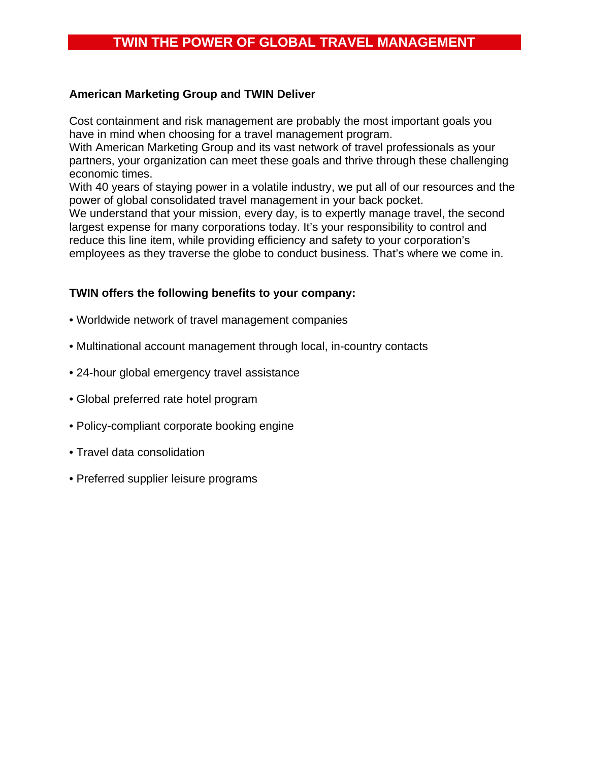# **TWIN THE POWER OF GLOBAL TRAVEL MANAGEMENT**

#### **American Marketing Group and TWIN Deliver**

Cost containment and risk management are probably the most important goals you have in mind when choosing for a travel management program.

With American Marketing Group and its vast network of travel professionals as your partners, your organization can meet these goals and thrive through these challenging economic times.

With 40 years of staying power in a volatile industry, we put all of our resources and the power of global consolidated travel management in your back pocket.

We understand that your mission, every day, is to expertly manage travel, the second largest expense for many corporations today. It's your responsibility to control and reduce this line item, while providing efficiency and safety to your corporation's employees as they traverse the globe to conduct business. That's where we come in.

### **TWIN offers the following benefits to your company:**

- Worldwide network of travel management companies
- Multinational account management through local, in-country contacts
- 24-hour global emergency travel assistance
- Global preferred rate hotel program
- Policy-compliant corporate booking engine
- Travel data consolidation
- Preferred supplier leisure programs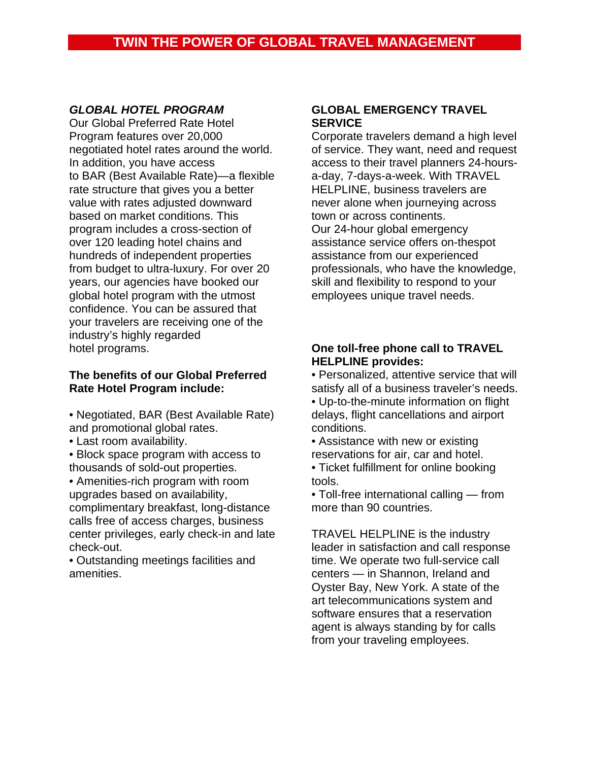## *GLOBAL HOTEL PROGRAM*

Our Global Preferred Rate Hotel Program features over 20,000 negotiated hotel rates around the world. In addition, you have access to BAR (Best Available Rate)—a flexible rate structure that gives you a better value with rates adjusted downward based on market conditions. This program includes a cross-section of over 120 leading hotel chains and hundreds of independent properties from budget to ultra-luxury. For over 20 years, our agencies have booked our global hotel program with the utmost confidence. You can be assured that your travelers are receiving one of the industry's highly regarded hotel programs.

#### **The benefits of our Global Preferred Rate Hotel Program include:**

- Negotiated, BAR (Best Available Rate) and promotional global rates.
- Last room availability.
- Block space program with access to thousands of sold-out properties.

• Amenities-rich program with room upgrades based on availability, complimentary breakfast, long-distance calls free of access charges, business center privileges, early check-in and late check-out.

• Outstanding meetings facilities and amenities.

#### **GLOBAL EMERGENCY TRAVEL SERVICE**

Corporate travelers demand a high level of service. They want, need and request access to their travel planners 24-hoursa-day, 7-days-a-week. With TRAVEL HELPLINE, business travelers are never alone when journeying across town or across continents. Our 24-hour global emergency assistance service offers on-thespot assistance from our experienced professionals, who have the knowledge, skill and flexibility to respond to your employees unique travel needs.

### **One toll-free phone call to TRAVEL HELPLINE provides:**

• Personalized, attentive service that will satisfy all of a business traveler's needs.

- Up-to-the-minute information on flight delays, flight cancellations and airport conditions.
- Assistance with new or existing reservations for air, car and hotel.
- Ticket fulfillment for online booking tools.
- Toll-free international calling from more than 90 countries.

TRAVEL HELPLINE is the industry leader in satisfaction and call response time. We operate two full-service call centers — in Shannon, Ireland and Oyster Bay, New York. A state of the art telecommunications system and software ensures that a reservation agent is always standing by for calls from your traveling employees.